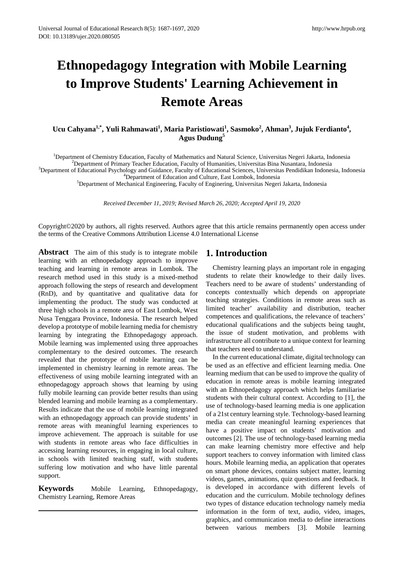# **Ethnopedagogy Integration with Mobile Learning to Improve Students' Learning Achievement in Remote Areas**

# Ucu Cahyana<sup>1,\*</sup>, Yuli Rahmawati<sup>1</sup>, Maria Paristiowati<sup>1</sup>, Sasmoko<sup>2</sup>, Ahman<sup>3</sup>, Jujuk Ferdianto<sup>4</sup>, **Agus Dudung<sup>5</sup>**

<sup>1</sup>Department of Chemistry Education, Faculty of Mathematics and Natural Science, Universitas Negeri Jakarta, Indonesia<br><sup>2</sup>Department of Primary Teacher Education, Faculty of Humanities, Universitas Rina Nusantara, Indones

<sup>2</sup>Department of Primary Teacher Education, Faculty of Humanities, Universitas Bina Nusantara, Indonesia

<sup>3</sup>Department of Educational Psychology and Guidance, Faculty of Educational Sciences, Universitas Pendidikan Indonesia, Indonesia

<sup>4</sup>Department of Education and Culture, East Lombok, Indonesia

<sup>5</sup>Department of Mechanical Engineering, Faculty of Enginering, Universitas Negeri Jakarta, Indonesia

*Received December 11, 2019; Revised March 26, 2020; Accepted April 19, 2020*

Copyright©2020 by authors, all rights reserved. Authors agree that this article remains permanently open access under the terms of the Creative Commons Attribution License 4.0 International License

**Abstract** The aim of this study is to integrate mobile learning with an ethnopedadogy approach to improve teaching and learning in remote areas in Lombok. The research method used in this study is a mixed-method approach following the steps of research and development (RnD), and by quantitative and qualitative data for implementing the product. The study was conducted at three high schools in a remote area of East Lombok, West Nusa Tenggara Province, Indonesia. The research helped develop a prototype of mobile learning media for chemistry learning by integrating the Ethnopedagogy approach. Mobile learning was implemented using three approaches complementary to the desired outcomes. The research revealed that the prototype of mobile learning can be implemented in chemistry learning in remote areas. The effectiveness of using mobile learning integrated with an ethnopedagogy approach shows that learning by using fully mobile learning can provide better results than using blended learning and mobile learning as a complementary. Results indicate that the use of mobile learning integrated with an ethnopedagogy approach can provide students' in remote areas with meaningful learning experiences to improve achievement. The approach is suitable for use with students in remote areas who face difficulties in accessing learning resources, in engaging in local culture, in schools with limited teaching staff, with students suffering low motivation and who have little parental support.

**Keywords** Mobile Learning, Ethnopedagogy, Chemistry Learning, Remore Areas

# **1. Introduction**

Chemistry learning plays an important role in engaging students to relate their knowledge to their daily lives. Teachers need to be aware of students' understanding of concepts contextually which depends on appropriate teaching strategies. Conditions in remote areas such as limited teacher' availability and distribution, teacher competences and qualifications, the relevance of teachers' educational qualifications and the subjects being taught, the issue of student motivation, and problems with infrastructure all contribute to a unique context for learning that teachers need to understand.

In the current educational climate, digital technology can be used as an effective and efficient learning media. One learning medium that can be used to improve the quality of education in remote areas is mobile learning integrated with an Ethnopedagogy approach which helps familiarise students with their cultural context. According to [1], the use of technology-based learning media is one application of a 21st century learning style. Technology-based learning media can create meaningful learning experiences that have a positive impact on students' motivation and outcomes [2]. The use of technology-based learning media can make learning chemistry more effective and help support teachers to convey information with limited class hours. Mobile learning media, an application that operates on smart phone devices, contains subject matter, learning videos, games, animations, quiz questions and feedback. It is developed in accordance with different levels of education and the curriculum. Mobile technology defines two types of distance education technology namely media information in the form of text, audio, video, images, graphics, and communication media to define interactions between various members [3]. Mobile learning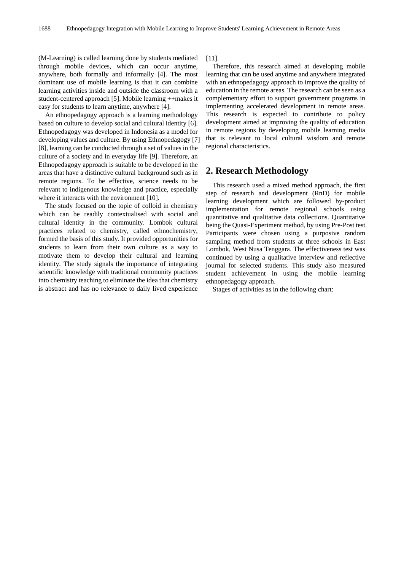(M-Learning) is called learning done by students mediated through mobile devices, which can occur anytime, anywhere, both formally and informally [4]. The most dominant use of mobile learning is that it can combine learning activities inside and outside the classroom with a student-centered approach [5]. Mobile learning ++makes it easy for students to learn anytime, anywhere [4].

An ethnopedagogy approach is a learning methodology based on culture to develop social and cultural identity [6]. Ethnopedagogy was developed in Indonesia as a model for developing values and culture. By using Ethnopedagogy [7] [8], learning can be conducted through a set of values in the culture of a society and in everyday life [9]. Therefore, an Ethnopedagogy approach is suitable to be developed in the areas that have a distinctive cultural background such as in remote regions. To be effective, science needs to be relevant to indigenous knowledge and practice, especially where it interacts with the environment [10].

The study focused on the topic of colloid in chemistry which can be readily contextualised with social and cultural identity in the community. Lombok cultural practices related to chemistry, called ethnochemistry, formed the basis of this study. It provided opportunities for students to learn from their own culture as a way to motivate them to develop their cultural and learning identity. The study signals the importance of integrating scientific knowledge with traditional community practices into chemistry teaching to eliminate the idea that chemistry is abstract and has no relevance to daily lived experience

[11].

Therefore, this research aimed at developing mobile learning that can be used anytime and anywhere integrated with an ethnopedagogy approach to improve the quality of education in the remote areas. The research can be seen as a complementary effort to support government programs in implementing accelerated development in remote areas. This research is expected to contribute to policy development aimed at improving the quality of education in remote regions by developing mobile learning media that is relevant to local cultural wisdom and remote regional characteristics.

# **2. Research Methodology**

This research used a mixed method approach, the first step of research and development (RnD) for mobile learning development which are followed by-product implementation for remote regional schools using quantitative and qualitative data collections. Quantitative being the Quasi-Experiment method, by using Pre-Post test. Participants were chosen using a purposive random sampling method from students at three schools in East Lombok, West Nusa Tenggara. The effectiveness test was continued by using a qualitative interview and reflective journal for selected students. This study also measured student achievement in using the mobile learning ethnopedagogy approach.

Stages of activities as in the following chart: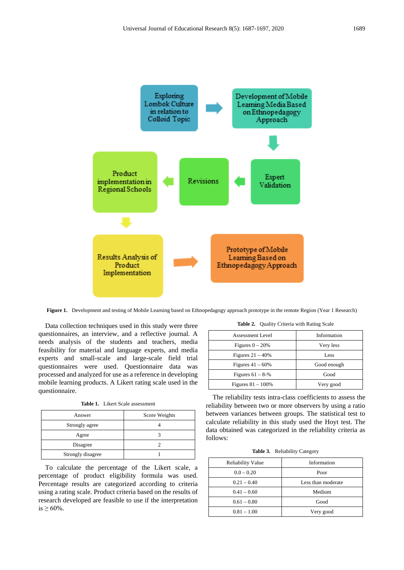

**Figure 1.** Development and testing of Mobile Learning based on Ethnopedagogy approach prototype in the remote Region (Year 1 Research)

Data collection techniques used in this study were three questionnaires, an interview, and a reflective journal. A needs analysis of the students and teachers, media feasibility for material and language experts, and media experts and small-scale and large-scale field trial questionnaires were used. Questionnaire data was processed and analyzed for use as a reference in developing mobile learning products. A Likert rating scale used in the questionnaire.

**Table 1.** Likert Scale assessment

| Answer            | Score Weights |
|-------------------|---------------|
| Strongly agree    |               |
| Agree             |               |
| Disagree          |               |
| Strongly disagree |               |

To calculate the percentage of the Likert scale, a percentage of product eligibility formula was used. Percentage results are categorized according to criteria using a rating scale. Product criteria based on the results of research developed are feasible to use if the interpretation is  $\geq 60\%$ .

**Table 2.** Quality Criteria with Rating Scale

| Assessment Level      | Information |
|-----------------------|-------------|
| Figures $0 - 20%$     | Very less   |
| Figures $21 - 40\%$   | Less        |
| Figures $41 - 60\%$   | Good enough |
| Figures $61 - 8 - \%$ | Good        |
| Figures $81 - 100\%$  | Very good   |
|                       |             |

The reliability tests intra-class coefficients to assess the reliability between two or more observers by using a ratio between variances between groups. The statistical test to calculate reliability in this study used the Hoyt test. The data obtained was categorized in the reliability criteria as follows:

|  | <b>Table 3.</b> Reliability Category |
|--|--------------------------------------|
|--|--------------------------------------|

| <b>Reliability Value</b> | Information        |
|--------------------------|--------------------|
| $0.0 - 0.20$             | Poor               |
| $0.21 - 0.40$            | Less than moderate |
| $0.41 - 0.60$            | Medium             |
| $0.61 - 0.80$            | Good               |
| $0.81 - 1.00$            | Very good          |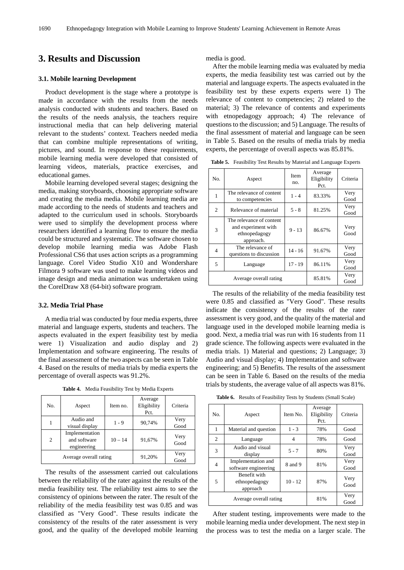# **3. Results and Discussion**

#### **3.1. Mobile learning Development**

Product development is the stage where a prototype is made in accordance with the results from the needs analysis conducted with students and teachers. Based on the results of the needs analysis, the teachers require instructional media that can help delivering material relevant to the students' context. Teachers needed media that can combine multiple representations of writing, pictures, and sound. In response to these requirements, mobile learning media were developed that consisted of learning videos, materials, practice exercises, and educational games.

Mobile learning developed several stages; designing the media, making storyboards, choosing appropriate software and creating the media media. Mobile learning media are made according to the needs of students and teachers and adapted to the curriculum used in schools. Storyboards were used to simplify the development process where researchers identified a learning flow to ensure the media could be structured and systematic. The software chosen to develop mobile learning media was Adobe Flash Professional CS6 that uses action scripts as a programming language. Corel Video Studio X10 and Wondershare Filmora 9 software was used to make learning videos and image design and media animation was undertaken using the CorelDraw X8 (64-bit) software program.

#### **3.2. Media Trial Phase**

A media trial was conducted by four media experts, three material and language experts, students and teachers. The aspects evaluated in the expert feasibility test by media were 1) Visualization and audio display and 2) Implementation and software engineering. The results of the final assessment of the two aspects can be seen in Table 4. Based on the results of media trials by media experts the percentage of overall aspects was 91.2%.

**Table 4.** Media Feasibility Test by Media Experts

| No.                    | Aspect                                        | Item no.  | Average<br>Eligibility<br>Pct. | Criteria     |
|------------------------|-----------------------------------------------|-----------|--------------------------------|--------------|
|                        | Audio and<br>visual display                   | 1 - 9     | 90,74%                         | Very<br>Good |
| 2                      | Implementation<br>and software<br>engineering | $10 - 14$ | 91,67%                         | Very<br>Good |
| Average overall rating |                                               |           | 91,20%                         | Very<br>Good |

The results of the assessment carried out calculations between the reliability of the rater against the results of the media feasibility test. The reliability test aims to see the consistency of opinions between the rater. The result of the reliability of the media feasibility test was 0.85 and was classified as "Very Good". These results indicate the consistency of the results of the rater assessment is very good, and the quality of the developed mobile learning

media is good.

After the mobile learning media was evaluated by media experts, the media feasibility test was carried out by the material and language experts. The aspects evaluated in the feasibility test by these experts experts were 1) The relevance of content to competencies; 2) related to the material; 3) The relevance of contents and experiments with etnopedagogy approach; 4) The relevance of questions to the discussion; and 5) Language. The results of the final assessment of material and language can be seen in Table 5. Based on the results of media trials by media experts, the percentage of overall aspects was 85.81%.

**Table 5.** Feasibility Test Results by Material and Language Experts

| No.                    | Aspect                                                                        | Item<br>no. | Average<br>Eligibility<br>Pct. | Criteria     |
|------------------------|-------------------------------------------------------------------------------|-------------|--------------------------------|--------------|
| 1                      | The relevance of content<br>to competencies                                   | $1 - 4$     | 83.33%                         | Very<br>Good |
| 2                      | Relevance of material                                                         | $5 - 8$     | 81.25%                         |              |
| 3                      | The relevance of content<br>and experiment with<br>ethnopedagogy<br>approach. | $9 - 13$    | 86.67%                         | Very<br>Good |
| 4                      | The relevance of<br>questions to discussion                                   | $14 - 16$   | 91.67%                         | Very<br>Good |
| 5<br>Language          |                                                                               | $17 - 19$   | 86.11%                         | Very<br>Good |
| Average overall rating |                                                                               |             | 85.81%                         | Very<br>Good |

The results of the reliability of the media feasibility test were 0.85 and classified as "Very Good". These results indicate the consistency of the results of the rater assessment is very good, and the quality of the material and language used in the developed mobile learning media is good. Next, a media trial was run with 16 students from 11 grade science. The following aspects were evaluated in the media trials. 1) Material and questions; 2) Language; 3) Audio and visual display; 4) Implementation and software engineering; and 5) Benefits. The results of the assessment can be seen in Table 6. Based on the results of the media trials by students, the average value of all aspects was 81%.

**Table 6.** Results of Feasibility Tests by Students (Small Scale)

| No.                                            | Aspect                                     | Item No.  | Average<br>Eligibility<br>Pct. | Criteria     |
|------------------------------------------------|--------------------------------------------|-----------|--------------------------------|--------------|
| 1                                              | Material and question                      | $1 - 3$   | 78%                            | Good         |
| 2                                              | Language                                   | 4         | 78%                            | Good         |
| 3                                              | Audio and visual<br>display                | $5 - 7$   | 80%                            | Very<br>Good |
| 4                                              | Implementation and<br>software engineering | 8 and 9   | 81%                            | Very<br>Good |
| Benefit with<br>5<br>ethnopedagogy<br>approach |                                            | $10 - 12$ | 87%                            | Very<br>Good |
| Average overall rating                         |                                            |           | 81%                            | Very<br>Good |

After student testing, improvements were made to the mobile learning media under development. The next step in the process was to test the media on a larger scale. The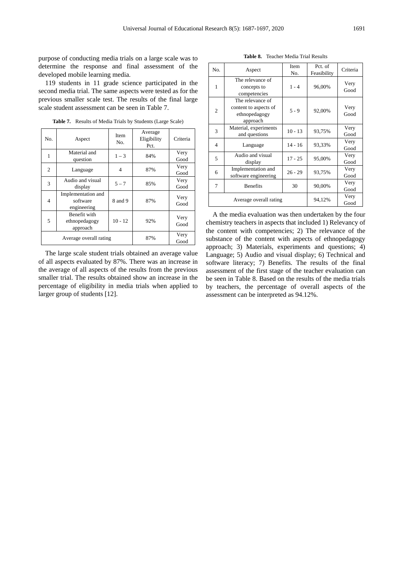purpose of conducting media trials on a large scale was to determine the response and final assessment of the developed mobile learning media.

119 students in 11 grade science participated in the second media trial. The same aspects were tested as for the previous smaller scale test. The results of the final large scale student assessment can be seen in Table 7.

| No.                                            | Aspect                                        | <b>Item</b><br>No. | Average<br>Eligibility<br>Pct. | Criteria     |
|------------------------------------------------|-----------------------------------------------|--------------------|--------------------------------|--------------|
| 1                                              | Material and<br>question                      | $1 - 3$            | 84%                            | Very<br>Good |
| 2                                              | Language                                      | $\overline{4}$     | 87%                            | Very<br>Good |
| 3                                              | Audio and visual<br>display                   | $5 - 7$            | 85%                            | Very<br>Good |
| $\overline{4}$                                 | Implementation and<br>software<br>engineering | 8 and 9            | 87%                            | Very<br>Good |
| Benefit with<br>5<br>ethnopedagogy<br>approach |                                               | $10 - 12$          | 92%                            | Very<br>Good |
| Average overall rating                         |                                               | 87%                | Very<br>Good                   |              |

**Table 7.** Results of Media Trials by Students (Large Scale)

The large scale student trials obtained an average value of all aspects evaluated by 87%. There was an increase in the average of all aspects of the results from the previous smaller trial. The results obtained show an increase in the percentage of eligibility in media trials when applied to larger group of students [12].

**Table 8.** Teacher Media Trial Results

| No.                    | Aspect                                                                 | Item<br>No. | Pct. of<br>Feasibility | Criteria     |
|------------------------|------------------------------------------------------------------------|-------------|------------------------|--------------|
| 1                      | The relevance of<br>concepts to<br>competencies                        | $1 - 4$     | 96,00%                 | Very<br>Good |
| 2                      | The relevance of<br>content to aspects of<br>ethnopedagogy<br>approach | $5 - 9$     | 92,00%                 | Very<br>Good |
| 3                      | Material, experiments<br>and questions                                 | $10 - 13$   | 93,75%                 | Very<br>Good |
| 4                      | Language                                                               | $14 - 16$   | 93,33%                 | Very<br>Good |
| 5                      | Audio and visual<br>display                                            | $17 - 25$   | 95,00%                 | Very<br>Good |
| 6                      | Implementation and<br>software engineering                             |             | 93,75%                 | Very<br>Good |
| 7<br><b>Benefits</b>   |                                                                        | 30          | 90,00%                 | Very<br>Good |
| Average overall rating |                                                                        |             | 94,12%                 | Very<br>Good |

A the media evaluation was then undertaken by the four chemistry teachers in aspects that included 1) Relevancy of the content with competencies; 2) The relevance of the substance of the content with aspects of ethnopedagogy approach; 3) Materials, experiments and questions; 4) Language; 5) Audio and visual display; 6) Technical and software literacy; 7) Benefits. The results of the final assessment of the first stage of the teacher evaluation can be seen in Table 8. Based on the results of the media trials by teachers, the percentage of overall aspects of the assessment can be interpreted as 94.12%.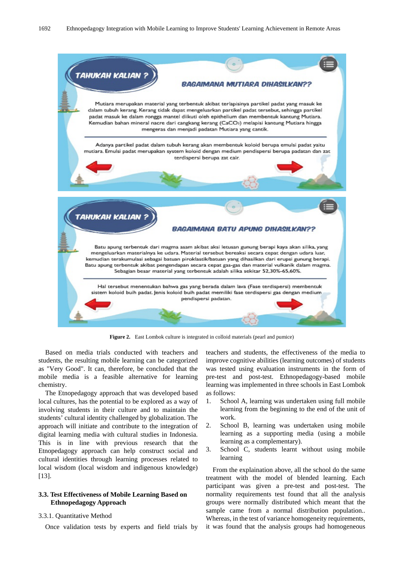

**Figure 2.** East Lombok culture is integrated in colloid materials (pearl and pumice)

Based on media trials conducted with teachers and students, the resulting mobile learning can be categorized as "Very Good". It can, therefore, be concluded that the mobile media is a feasible alternative for learning chemistry.

The Etnopedagogy approach that was developed based local cultures, has the potential to be explored as a way of involving students in their culture and to maintain the students' cultural identity challenged by globalization. The approach will initiate and contribute to the integration of digital learning media with cultural studies in Indonesia. This is in line with previous research that the Etnopedagogy approach can help construct social and cultural identities through learning processes related to local wisdom (local wisdom and indigenous knowledge) [13].

# **3.3. Test Effectiveness of Mobile Learning Based on Ethnopedagogy Approach**

#### 3.3.1. Quantitative Method

Once validation tests by experts and field trials by

teachers and students, the effectiveness of the media to improve cognitive abilities (learning outcomes) of students was tested using evaluation instruments in the form of pre-test and post-test. Ethnopedagogy-based mobile learning was implemented in three schools in East Lombok as follows:

- 1. School A, learning was undertaken using full mobile learning from the beginning to the end of the unit of work.
- 2. School B, learning was undertaken using mobile learning as a supporting media (using a mobile learning as a complementary).
- 3. School C, students learnt without using mobile learning

From the explaination above, all the school do the same treatment with the model of blended learning. Each participant was given a pre-test and post-test. The normality requirements test found that all the analysis groups were normally distributed which meant that the sample came from a normal distribution population.. Whereas, in the test of variance homogeneity requirements, it was found that the analysis groups had homogeneous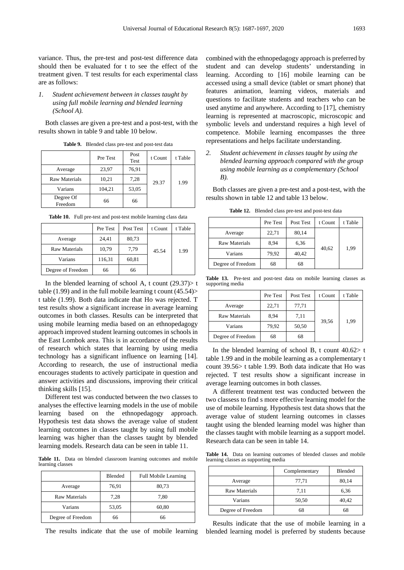variance. Thus, the pre-test and post-test difference data should then be evaluated for t to see the effect of the treatment given. T test results for each experimental class are as follows:

### *1. Student achievement between in classes taught by using full mobile learning and blended learning (School A).*

Both classes are given a pre-test and a post-test, with the results shown in table 9 and table 10 below.

|                      | Pre Test | Post<br>Test | t Count | t Table |
|----------------------|----------|--------------|---------|---------|
| Average              | 23,97    | 76,91        |         |         |
| <b>Raw Materials</b> | 10,21    | 7,28         | 29.37   | 1.99    |
| Varians              | 104,21   | 53,05        |         |         |
| Degree Of<br>Freedom | 66       | 66           |         |         |

**Table 9.** Blended class pre-test and post-test data

|  | Table 10. Full pre-test and post-test mobile learning class data                                                |  |
|--|-----------------------------------------------------------------------------------------------------------------|--|
|  | the contract of the contract of the contract of the contract of the contract of the contract of the contract of |  |

|                      | Pre Test | Post Test | t Count | t Table |
|----------------------|----------|-----------|---------|---------|
| Average              | 24,41    | 80,73     |         |         |
| <b>Raw Materials</b> | 10,79    | 7,79      | 45.54   | 1.99    |
| Varians              | 116,31   | 60,81     |         |         |
| Degree of Freedom    | 66       | 66        |         |         |

In the blended learning of school A, t count  $(29.37)$  t table (1.99) and in the full mobile learning t count (45.54)> t table (1.99). Both data indicate that Ho was rejected. T test results show a significant increase in average learning outcomes in both classes. Results can be interpreted that using mobile learning media based on an ethnopedagogy approach improved student learning outcomes in schools in the East Lombok area. This is in accordance of the results of research which states that learning by using media technology has a significant influence on learning [14]. According to research, the use of instructional media encourages students to actively participate in question and answer activities and discussions, improving their critical thinking skills [15].

Different test was conducted between the two classes to analyses the effective learning models in the use of mobile learning based on the ethnopedagogy approach. Hypothesis test data shows the average value of student learning outcomes in classes taught by using full mobile learning was higher than the classes taught by blended learning models. Research data can be seen in table 11.

**Table 11.** Data on blended classroom learning outcomes and mobile learning classes

|                      | Blended | <b>Full Mobile Learning</b> |
|----------------------|---------|-----------------------------|
| Average              | 76,91   | 80,73                       |
| <b>Raw Materials</b> | 7,28    | 7,80                        |
| Varians              | 53,05   | 60,80                       |
| Degree of Freedom    | 66      | 66                          |

The results indicate that the use of mobile learning

combined with the ethnopedagogy approach is preferred by student and can develop students' understanding in learning. According to [16] mobile learning can be accessed using a small device (tablet or smart phone) that features animation, learning videos, materials and questions to facilitate students and teachers who can be used anytime and anywhere. According to [17], chemistry learning is represented at macroscopic, microscopic and symbolic levels and understand requires a high level of competence. Mobile learning encompasses the three representations and helps facilitate understanding.

*2. Student achievement in classes taught by using the blended learning approach compared with the group using mobile learning as a complementary (School B).*

Both classes are given a pre-test and a post-test, with the results shown in table 12 and table 13 below.

**Table 12.** Blended class pre-test and post-test data

|                   | Pre Test | Post Test | t Count | t Table |
|-------------------|----------|-----------|---------|---------|
| Average           | 22,71    | 80,14     |         | 1,99    |
| Raw Materials     | 8.94     | 6,36      |         |         |
| Varians           | 79,92    | 40,42     | 40,62   |         |
| Degree of Freedom | 68       | 68        |         |         |

**Table 13.** Pre-test and post-test data on mobile learning classes as supporting media

|                      | Pre Test | Post Test | t Count | t Table |
|----------------------|----------|-----------|---------|---------|
| Average              | 22,71    | 77,71     |         | 1,99    |
| <b>Raw Materials</b> | 8.94     | 7,11      |         |         |
| Varians              | 79,92    | 50,50     | 39,56   |         |
| Degree of Freedom    | 68       | 68        |         |         |

In the blended learning of school B, t count  $40.62 > t$ table 1.99 and in the mobile learning as a complementary t count 39.56> t table 1.99. Both data indicate that Ho was rejected. T test results show a significant increase in average learning outcomes in both classes.

A different treatment test was conducted between the two classess to find s more effective learning model for the use of mobile learning. Hypothesis test data shows that the average value of student learning outcomes in classes taught using the blended learning model was higher than the classes taught with mobile learning as a support model. Research data can be seen in table 14.

**Table 14.** Data on learning outcomes of blended classes and mobile learning classes as supporting media

|                      | Complementary | <b>Blended</b> |
|----------------------|---------------|----------------|
| Average              | 77,71         | 80,14          |
| <b>Raw Materials</b> | 7,11          | 6,36           |
| Varians              | 50,50         | 40,42          |
| Degree of Freedom    | 68            | 68             |

Results indicate that the use of mobile learning in a blended learning model is preferred by students because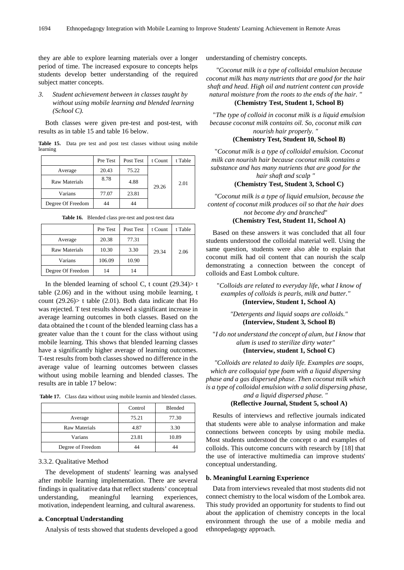they are able to explore learning materials over a longer period of time. The increased exposure to concepts helps students develop better understanding of the required subject matter concepts.

*3. Student achievement between in classes taught by without using mobile learning and blended learning (School C).*

Both classes were given pre-test and post-test, with results as in table 15 and table 16 below.

**Table 15.** Data pre test and post test classes without using mobile learning

|                   | Pre Test | Post Test | t Count | t Table |
|-------------------|----------|-----------|---------|---------|
| Average           | 20.43    | 75.22     |         |         |
| Raw Materials     | 8.78     | 4.88      | 29.26   | 2.01    |
| Varians           | 77.07    | 23.81     |         |         |
| Degree Of Freedom | 44       |           |         |         |

**Table 16.** Blended class pre-test and post-test data

|                   | Pre Test | Post Test | t Count | t Table |
|-------------------|----------|-----------|---------|---------|
| Average           | 20.38    | 77.31     |         |         |
| Raw Materials     | 10.30    | 3.30      | 29.34   | 2.06    |
| Varians           | 106.09   | 10.90     |         |         |
| Degree Of Freedom | 14       | 14        |         |         |

In the blended learning of school C, t count  $(29.34)$  t table (2.06) and in the without using mobile learning, t count  $(29.26)$  t table  $(2.01)$ . Both data indicate that Ho was rejected. T test results showed a significant increase in average learning outcomes in both classes. Based on the data obtained the t count of the blended learning class has a greater value than the t count for the class without using mobile learning. This shows that blended learning classes have a significantly higher average of learning outcomes. T-test results from both classes showed no difference in the average value of learning outcomes between classes without using mobile learning and blended classes. The results are in table 17 below:

**Table 17.** Class data without using mobile learnin and blended classes.

|                      | Control | <b>Blended</b> |
|----------------------|---------|----------------|
| Average              | 75.21   | 77.30          |
| <b>Raw Materials</b> | 4.87    | 3.30           |
| Varians              | 23.81   | 10.89          |
| Degree of Freedom    | 44      |                |

#### 3.3.2. Qualitative Method

The development of students' learning was analysed after mobile learning implementation. There are several findings in qualitative data that reflect students' conceptual understanding, meaningful learning experiences, motivation, independent learning, and cultural awareness.

#### **a. Conceptual Understanding**

Analysis of tests showed that students developed a good

understanding of chemistry concepts.

*"Coconut milk is a type of colloidal emulsion because coconut milk has many nutrients that are good for the hair shaft and head. High oil and nutrient content can provide natural moisture from the roots to the ends of the hair. "*

# **(Chemistry Test, Student 1, School B)**

"*The type of colloid in coconut milk is a liquid emulsion because coconut milk contains oil. So, coconut milk can nourish hair properly. "*

#### **(Chemistry Test, Student 10, School B)**

"*Coconut milk is a type of colloidal emulsion. Coconut milk can nourish hair because coconut milk contains a substance and has many nutrients that are good for the hair shaft and scalp "*

#### **(Chemistry Test, Student 3, School C)**

*"Coconut milk is a type of liquid emulsion, because the content of coconut milk produces oil so that the hair does not become dry and branched*"

#### **(Chemistry Test, Student 11, School A)**

Based on these answers it was concluded that all four students understood the colloidal material well. Using the same question, students were also able to explain that coconut milk had oil content that can nourish the scalp demonstrating a connection between the concept of colloids and East Lombok culture.

"*Colloids are related to everyday life, what I know of examples of colloids is pearls, milk and butter."*  **(Interview, Student 1, School A)**

*"Detergents and liquid soaps are colloids."*  **(Interview, Student 3, School B)**

"*I do not understand the concept of alum, but I know that alum is used to sterilize dirty water"* 

**(Interview, student 1, School C)**

*"Colloids are related to daily life. Examples are soaps, which are colloquial type foam with a liquid dispersing phase and a gas dispersed phase. Then coconut milk which is a type of colloidal emulsion with a solid dispersing phase, and a liquid dispersed phase. "* 

**(Reflective Journal, Student 5, school A)**

Results of interviews and reflective journals indicated that students were able to analyse information and make connections between concepts by using mobile media. Most students understood the concept o and examples of colloids. This outcome concurrs with research by [18] that the use of interactive multimedia can improve students' conceptual understanding.

#### **b. Meaningful Learning Experience**

Data from interviews revealed that most students did not connect chemistry to the local wisdom of the Lombok area. This study provided an opportunity for students to find out about the application of chemistry concepts in the local environment through the use of a mobile media and ethnopedagogy approach.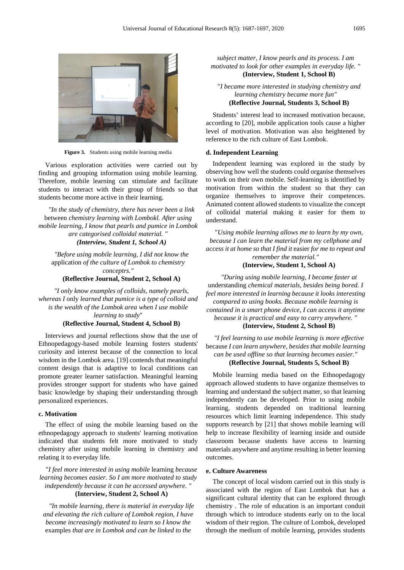

**Figure 3.** Students using mobile learning media

Various exploration activities were carried out by finding and grouping information using mobile learning. Therefore, mobile learning can stimulate and facilitate students to interact with their group of friends so that students become more active in their learning.

*"In the study of chemistry, there has never been a link*  between *chemistry learning with Lombokl. After using mobile learning, I know that pearls and pumice in Lombok are categorised colloidal material. "* 

#### *(Interview, Student 1, School A)*

*"Before using mobile learning, I did not know the*  application *of the culture of Lombok to chemistry conceptrs."* 

#### **(Reflective Journal, Student 2, School A)**

*"I only know examples of colloids, namely pearls, whereas I* only *learned that pumice is a type of colloid and is the wealth of the Lombok area when I use mobile learning to study*"

#### **(Reflective Journal, Student 4, School B)**

Interviews and journal reflections show that the use of Ethnopedagogy-based mobile learning fosters students' curiosity and interest because of the connection to local wisdom in the Lombok area. [19] contends that meaningful content design that is adaptive to local conditions can promote greater learner satisfaction. Meaningful learning provides stronger support for students who have gained basic knowledge by shaping their understanding through personalized experiences.

#### **c. Motivation**

The effect of using the mobile learning based on the ethnopedagogy approach to students' learning motivation indicated that students felt more motivated to study chemistry after using mobile learning in chemistry and relating it to everyday life.

"*I feel more interested in using mobile* learning *because learning becomes easier. So I am more motivated to study independently because it can be accessed anywhere. "* **(Interview, Student 2, School A)**

*"In mobile learning, there is material in everyday life and elevating the rich culture of Lombok region, I have become increasingly motivated to learn so I know the*  examples *that are in Lombok and can be linked to the* 

*subject matter, I know pearls and its process. I am motivated to look for other examples in everyday life. "*  **(Interview, Student 1, School B)**

"*I became more interested in studying chemistry and learning chemistry became more fun"* **(Reflective Journal, Students 3, School B)**

Students' interest lead to increased motivation because, according to [20], mobile application tools cause a higher level of motivation. Motivation was also heightened by reference to the rich culture of East Lombok.

#### **d. Independent Learning**

Independent learning was explored in the study by observing how well the students could organise themselves to work on their own mobile. Self-learning is identified by motivation from within the student so that they can organize themselves to improve their competences. Animated content allowed students to visualize the concept of colloidal material making it easier for them to understand.

"*Using mobile learning allows me to learn by my own, because I can learn the material from my cellphone and access it at home so that I find it* easier *for me to repeat and remember the material."*

#### **(Interview, Student 1, School A)**

*"During using mobile learning, I became faster at*  understanding *chemical materials, besides being bored. I feel more interested in learning because it looks interesting compared to using books. Because mobile learning is contained in a smart phone device, I can access it anytime because it is practical and easy to carry anywhere. "* 

**(Interview, Student 2, School B)**

*"I feel learning to use mobile learning is more effective*  because *I can learn anywhere, besides that mobile learning can be used offline so that learning becomes easier."*  **(Reflective Journal, Students 5, School B)**

Mobile learning media based on the Ethnopedagogy approach allowed students to have organize themselves to learning and understand the subject matter, so that learning independently can be developed. Prior to using mobile learning, students depended on traditional learning resources which limit learning independence. This study supports research by [21] that shows mobile learning will help to increase flexibility of learning inside and outside classroom because students have access to learning materials anywhere and anytime resulting in better learning outcomes.

#### **e. Culture Awareness**

The concept of local wisdom carried out in this study is associated with the region of East Lombok that has a significant cultural identity that can be explored through chemistry . The role of education is an important conduit through which to introduce students early on to the local wisdom of their region. The culture of Lombok, developed through the medium of mobile learning, provides students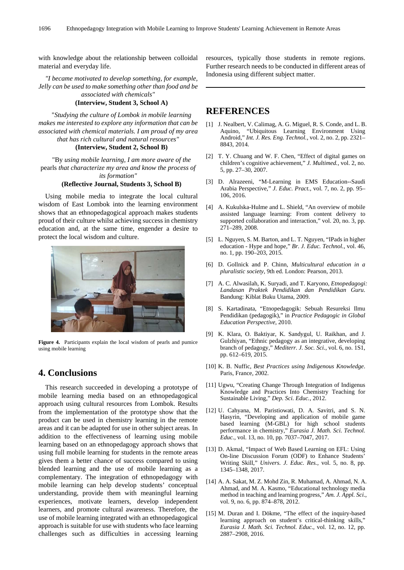with knowledge about the relationship between colloidal material and everyday life.

*"I became motivated to develop something, for example, Jelly can be used to make something other than food and be associated with chemicals"* 

## **(Interview, Student 3, School A)**

"*Studying the culture of Lombok in mobile learning makes me interested to explore any information that can be associated with chemical materials. I am proud of my area that has rich cultural and natural resources"* 

#### **(Interview, Student 2, School B)**

"By *using mobile learning, I am more aware of the*  pearls *that characterize my area and know the process of its formation"*

#### **(Reflective Journal, Students 3, School B)**

Using mobile media to integrate the local cultural wisdom of East Lombok into the learning environment shows that an ethnopedagogical approach makes students proud of their culture whilst achieving success in chemistry education and, at the same time, engender a desire to protect the local wisdom and culture.



**Figure 4.** Participants explain the local wisdom of pearls and pumice using mobile learning

# **4. Conclusions**

This research succeeded in developing a prototype of mobile learning media based on an ethnopedagogical approach using cultural resources from Lombok. Results from the implementation of the prototype show that the product can be used in chemistry learning in the remote areas and it can be adapted for use in other subject areas. In addition to the effectiveness of learning using mobile learning based on an ethnopedagogy approach shows that using full mobile learning for students in the remote areas gives them a better chance of success compared to using blended learning and the use of mobile learning as a complementary. The integration of ethnopedagogy with mobile learning can help develop students' conceptual understanding, provide them with meaningful learning experiences, motivate learners, develop independent learners, and promote cultural awareness. Therefore, the use of mobile learning integrated with an ethnopedagogical approach is suitable for use with students who face learning challenges such as difficulties in accessing learning

resources, typically those students in remote regions. Further research needs to be conducted in different areas of Indonesia using different subject matter.

# **REFERENCES**

- [1] J. Nealbert, V. Calimag, A. G. Miguel, R. S. Conde, and L. B. Aquino, "Ubiquitous Learning Environment Using Android," *Int. J. Res. Eng. Technol.*, vol. 2, no. 2, pp. 2321– 8843, 2014.
- [2] T. Y. Chuang and W. F. Chen, "Effect of digital games on children's cognitive achievement," *J. Multimed.*, vol. 2, no. 5, pp. 27–30, 2007.
- [3] D. Alrazeeni, "M-Learning in EMS Education--Saudi Arabia Perspective," *J. Educ. Pract.*, vol. 7, no. 2, pp. 95– 106, 2016.
- [4] A. Kukulska-Hulme and L. Shield, "An overview of mobile assisted language learning: From content delivery to supported collaboration and interaction," vol. 20, no. 3, pp. 271–289, 2008.
- [5] L. Nguyen, S. M. Barton, and L. T. Nguyen, "IPads in higher education - Hype and hope," *Br. J. Educ. Technol.*, vol. 46, no. 1, pp. 190–203, 2015.
- [6] D. Gollnick and P. Chinn, *Multicultural education in a pluralistic society*, 9th ed. London: Pearson, 2013.
- [7] A. C. Alwasilah, K. Suryadi, and T. Karyono, *Etnopedagogi: Landasan Praktek Pendidikan dan Pendidikan Guru*. Bandung: Kiblat Buku Utama, 2009.
- [8] S. Kartadinata, "Etnopedagogik: Sebuah Resureksi Ilmu Pendidikan (pedagogik)," in *Practice Pedagogic in Global Education Perspective*, 2010.
- [9] K. Klara, O. Baktiyar, K. Sandygul, U. Raikhan, and J. Gulzhiyan, "Ethnic pedagogy as an integrative, developing branch of pedagogy," *Mediterr. J. Soc. Sci.*, vol. 6, no. 1S1, pp. 612–619, 2015.
- [10] K. B. Nuffic, *Best Practices using Indigenous Knowledge*. Paris, France, 2002.
- [11] Ugwu, "Creating Change Through Integration of Indigenus Knowledge and Practices Into Chemistry Teaching for Sustainable Living," *Dep. Sci. Educ.*, 2012.
- [12] U. Cahyana, M. Paristiowati, D. A. Savitri, and S. N. Hasyrin, "Developing and application of mobile game based learning (M-GBL) for high school students performance in chemistry," *Eurasia J. Math. Sci. Technol. Educ.*, vol. 13, no. 10, pp. 7037–7047, 2017.
- [13] D. Akmal, "Impact of Web Based Learning on EFL: Using On-line Discussion Forum (ODF) to Enhance Students' Writing Skill," *Univers. J. Educ. Res.*, vol. 5, no. 8, pp. 1345–1348, 2017.
- [14] A. A. Sakat, M. Z. Mohd Zin, R. Muhamad, A. Ahmad, N. A. Ahmad, and M. A. Kasmo, "Educational technology media method in teaching and learning progress," *Am. J. Appl. Sci.*, vol. 9, no. 6, pp. 874–878, 2012.
- [15] M. Duran and I. Dökme, "The effect of the inquiry-based learning approach on student's critical-thinking skills," *Eurasia J. Math. Sci. Technol. Educ.*, vol. 12, no. 12, pp. 2887–2908, 2016.